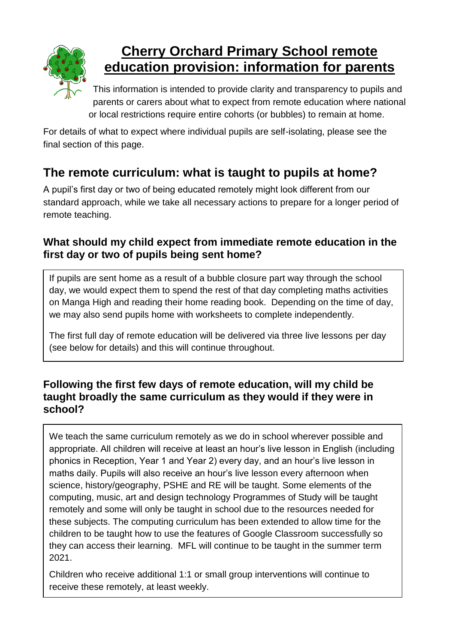

# **Cherry Orchard Primary School remote education provision: information for parents**

This information is intended to provide clarity and transparency to pupils and parents or carers about what to expect from remote education where national or local restrictions require entire cohorts (or bubbles) to remain at home.

For details of what to expect where individual pupils are self-isolating, please see the final section of this page.

## **The remote curriculum: what is taught to pupils at home?**

A pupil's first day or two of being educated remotely might look different from our standard approach, while we take all necessary actions to prepare for a longer period of remote teaching.

### **What should my child expect from immediate remote education in the first day or two of pupils being sent home?**

If pupils are sent home as a result of a bubble closure part way through the school day, we would expect them to spend the rest of that day completing maths activities on Manga High and reading their home reading book. Depending on the time of day, we may also send pupils home with worksheets to complete independently.

The first full day of remote education will be delivered via three live lessons per day (see below for details) and this will continue throughout.

### **Following the first few days of remote education, will my child be taught broadly the same curriculum as they would if they were in school?**

We teach the same curriculum remotely as we do in school wherever possible and appropriate. All children will receive at least an hour's live lesson in English (including phonics in Reception, Year 1 and Year 2) every day, and an hour's live lesson in maths daily. Pupils will also receive an hour's live lesson every afternoon when science, history/geography, PSHE and RE will be taught. Some elements of the computing, music, art and design technology Programmes of Study will be taught remotely and some will only be taught in school due to the resources needed for these subjects. The computing curriculum has been extended to allow time for the children to be taught how to use the features of Google Classroom successfully so they can access their learning. MFL will continue to be taught in the summer term 2021.

Children who receive additional 1:1 or small group interventions will continue to receive these remotely, at least weekly.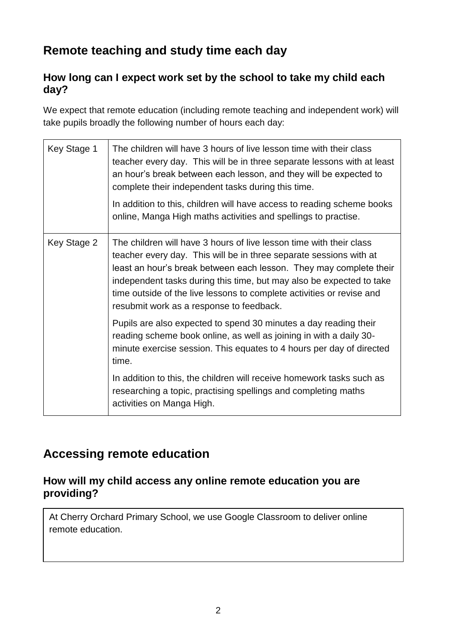## **Remote teaching and study time each day**

### **How long can I expect work set by the school to take my child each day?**

We expect that remote education (including remote teaching and independent work) will take pupils broadly the following number of hours each day:

| Key Stage 1 | The children will have 3 hours of live lesson time with their class<br>teacher every day. This will be in three separate lessons with at least<br>an hour's break between each lesson, and they will be expected to<br>complete their independent tasks during this time.                                                                                                                                    |
|-------------|--------------------------------------------------------------------------------------------------------------------------------------------------------------------------------------------------------------------------------------------------------------------------------------------------------------------------------------------------------------------------------------------------------------|
|             | In addition to this, children will have access to reading scheme books<br>online, Manga High maths activities and spellings to practise.                                                                                                                                                                                                                                                                     |
| Key Stage 2 | The children will have 3 hours of live lesson time with their class<br>teacher every day. This will be in three separate sessions with at<br>least an hour's break between each lesson. They may complete their<br>independent tasks during this time, but may also be expected to take<br>time outside of the live lessons to complete activities or revise and<br>resubmit work as a response to feedback. |
|             | Pupils are also expected to spend 30 minutes a day reading their<br>reading scheme book online, as well as joining in with a daily 30-<br>minute exercise session. This equates to 4 hours per day of directed<br>time.                                                                                                                                                                                      |
|             | In addition to this, the children will receive homework tasks such as<br>researching a topic, practising spellings and completing maths<br>activities on Manga High.                                                                                                                                                                                                                                         |

## **Accessing remote education**

#### **How will my child access any online remote education you are providing?**

At Cherry Orchard Primary School, we use Google Classroom to deliver online remote education.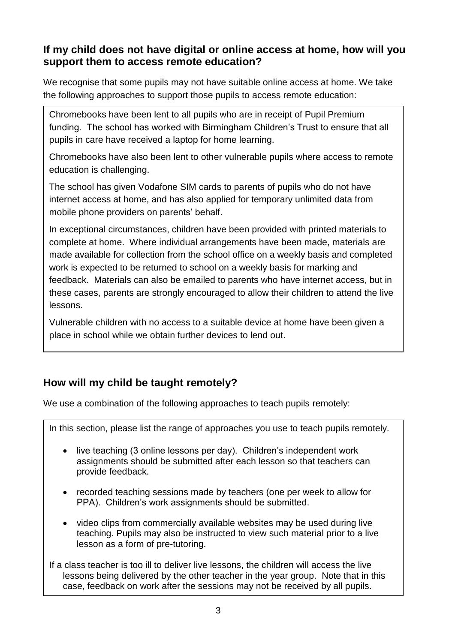#### **If my child does not have digital or online access at home, how will you support them to access remote education?**

We recognise that some pupils may not have suitable online access at home. We take the following approaches to support those pupils to access remote education:

Chromebooks have been lent to all pupils who are in receipt of Pupil Premium funding. The school has worked with Birmingham Children's Trust to ensure that all pupils in care have received a laptop for home learning.

Chromebooks have also been lent to other vulnerable pupils where access to remote education is challenging.

The school has given Vodafone SIM cards to parents of pupils who do not have internet access at home, and has also applied for temporary unlimited data from mobile phone providers on parents' behalf.

In exceptional circumstances, children have been provided with printed materials to complete at home. Where individual arrangements have been made, materials are made available for collection from the school office on a weekly basis and completed work is expected to be returned to school on a weekly basis for marking and feedback. Materials can also be emailed to parents who have internet access, but in these cases, parents are strongly encouraged to allow their children to attend the live lessons.

Vulnerable children with no access to a suitable device at home have been given a place in school while we obtain further devices to lend out.

### **How will my child be taught remotely?**

We use a combination of the following approaches to teach pupils remotely:

In this section, please list the range of approaches you use to teach pupils remotely.

- live teaching (3 online lessons per day). Children's independent work assignments should be submitted after each lesson so that teachers can provide feedback.
- recorded teaching sessions made by teachers (one per week to allow for PPA). Children's work assignments should be submitted.
- video clips from commercially available websites may be used during live teaching. Pupils may also be instructed to view such material prior to a live lesson as a form of pre-tutoring.
- If a class teacher is too ill to deliver live lessons, the children will access the live lessons being delivered by the other teacher in the year group. Note that in this case, feedback on work after the sessions may not be received by all pupils.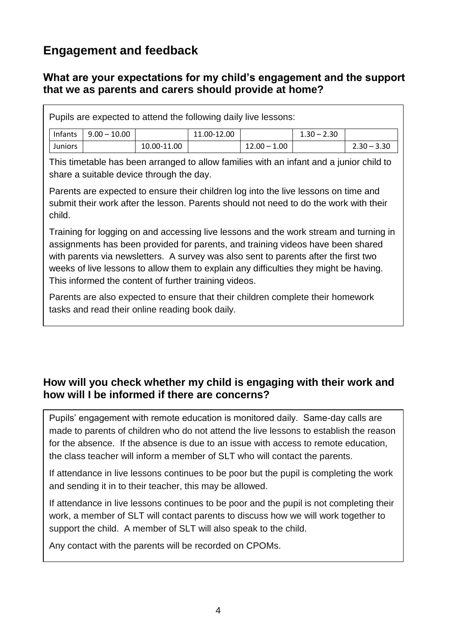## **Engagement and feedback**

### **What are your expectations for my child's engagement and the support that we as parents and carers should provide at home?**

Pupils are expected to attend the following daily live lessons:

| Infants | 10.00<br>$9.00 -$ |             | $\cdot$ 12.00<br>$1.00 - 1$ <sup>-1</sup> |                    | 2.30<br>$\Omega$<br>1.30 |                          |
|---------|-------------------|-------------|-------------------------------------------|--------------------|--------------------------|--------------------------|
| Juniors |                   | 10.00-11.00 |                                           | 1.00<br>12.00<br>. |                          | 3.30<br>$\Omega$<br>2.JU |

This timetable has been arranged to allow families with an infant and a junior child to share a suitable device through the day.

Parents are expected to ensure their children log into the live lessons on time and submit their work after the lesson. Parents should not need to do the work with their child.

Training for logging on and accessing live lessons and the work stream and turning in assignments has been provided for parents, and training videos have been shared with parents via newsletters. A survey was also sent to parents after the first two weeks of live lessons to allow them to explain any difficulties they might be having. This informed the content of further training videos.

Parents are also expected to ensure that their children complete their homework tasks and read their online reading book daily.

### **How will you check whether my child is engaging with their work and how will I be informed if there are concerns?**

Pupils' engagement with remote education is monitored daily. Same-day calls are made to parents of children who do not attend the live lessons to establish the reason for the absence. If the absence is due to an issue with access to remote education, the class teacher will inform a member of SLT who will contact the parents.

If attendance in live lessons continues to be poor but the pupil is completing the work and sending it in to their teacher, this may be allowed.

If attendance in live lessons continues to be poor and the pupil is not completing their work, a member of SLT will contact parents to discuss how we will work together to support the child. A member of SLT will also speak to the child.

Any contact with the parents will be recorded on CPOMs.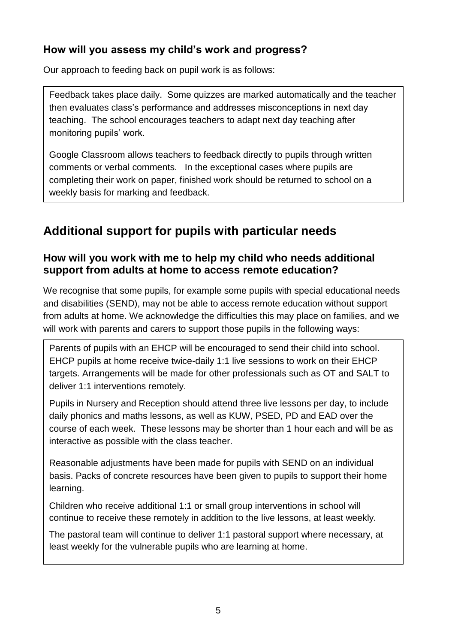### **How will you assess my child's work and progress?**

Our approach to feeding back on pupil work is as follows:

Feedback takes place daily. Some quizzes are marked automatically and the teacher then evaluates class's performance and addresses misconceptions in next day teaching. The school encourages teachers to adapt next day teaching after monitoring pupils' work.

Google Classroom allows teachers to feedback directly to pupils through written comments or verbal comments. In the exceptional cases where pupils are completing their work on paper, finished work should be returned to school on a weekly basis for marking and feedback.

## **Additional support for pupils with particular needs**

### **How will you work with me to help my child who needs additional support from adults at home to access remote education?**

We recognise that some pupils, for example some pupils with special educational needs and disabilities (SEND), may not be able to access remote education without support from adults at home. We acknowledge the difficulties this may place on families, and we will work with parents and carers to support those pupils in the following ways:

Parents of pupils with an EHCP will be encouraged to send their child into school. EHCP pupils at home receive twice-daily 1:1 live sessions to work on their EHCP targets. Arrangements will be made for other professionals such as OT and SALT to deliver 1:1 interventions remotely.

Pupils in Nursery and Reception should attend three live lessons per day, to include daily phonics and maths lessons, as well as KUW, PSED, PD and EAD over the course of each week. These lessons may be shorter than 1 hour each and will be as interactive as possible with the class teacher.

Reasonable adjustments have been made for pupils with SEND on an individual basis. Packs of concrete resources have been given to pupils to support their home learning.

Children who receive additional 1:1 or small group interventions in school will continue to receive these remotely in addition to the live lessons, at least weekly.

The pastoral team will continue to deliver 1:1 pastoral support where necessary, at least weekly for the vulnerable pupils who are learning at home.